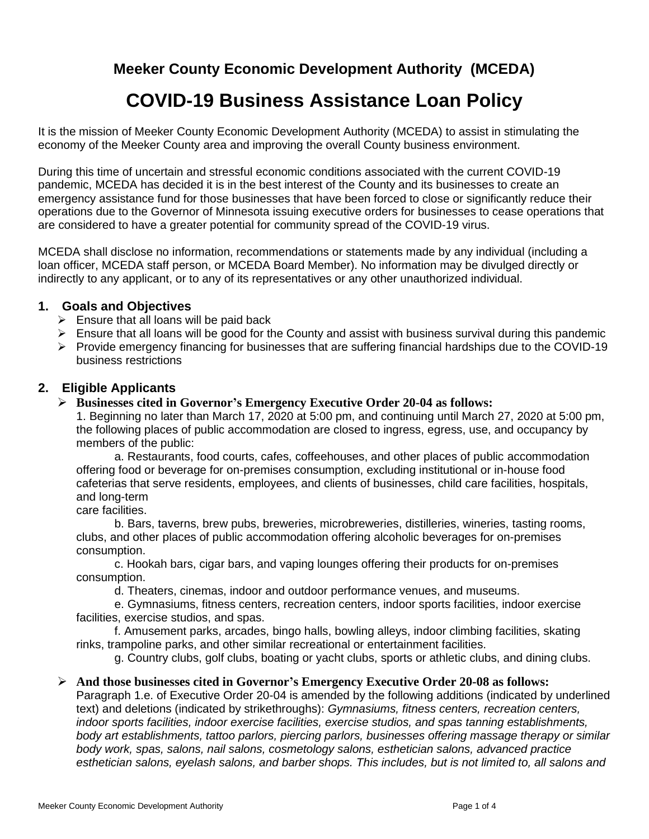## **Meeker County Economic Development Authority (MCEDA)**

# **COVID-19 Business Assistance Loan Policy**

It is the mission of Meeker County Economic Development Authority (MCEDA) to assist in stimulating the economy of the Meeker County area and improving the overall County business environment.

During this time of uncertain and stressful economic conditions associated with the current COVID-19 pandemic, MCEDA has decided it is in the best interest of the County and its businesses to create an emergency assistance fund for those businesses that have been forced to close or significantly reduce their operations due to the Governor of Minnesota issuing executive orders for businesses to cease operations that are considered to have a greater potential for community spread of the COVID-19 virus.

MCEDA shall disclose no information, recommendations or statements made by any individual (including a loan officer, MCEDA staff person, or MCEDA Board Member). No information may be divulged directly or indirectly to any applicant, or to any of its representatives or any other unauthorized individual.

### **1. Goals and Objectives**

- $\triangleright$  Ensure that all loans will be paid back
- $\triangleright$  Ensure that all loans will be good for the County and assist with business survival during this pandemic
- $\triangleright$  Provide emergency financing for businesses that are suffering financial hardships due to the COVID-19 business restrictions

#### **2. Eligible Applicants**

#### ➢ **Businesses cited in Governor's Emergency Executive Order 20-04 as follows:**

1. Beginning no later than March 17, 2020 at 5:00 pm, and continuing until March 27, 2020 at 5:00 pm, the following places of public accommodation are closed to ingress, egress, use, and occupancy by members of the public:

a. Restaurants, food courts, cafes, coffeehouses, and other places of public accommodation offering food or beverage for on-premises consumption, excluding institutional or in-house food cafeterias that serve residents, employees, and clients of businesses, child care facilities, hospitals, and long-term

care facilities.

b. Bars, taverns, brew pubs, breweries, microbreweries, distilleries, wineries, tasting rooms, clubs, and other places of public accommodation offering alcoholic beverages for on-premises consumption.

c. Hookah bars, cigar bars, and vaping lounges offering their products for on-premises consumption.

d. Theaters, cinemas, indoor and outdoor performance venues, and museums.

e. Gymnasiums, fitness centers, recreation centers, indoor sports facilities, indoor exercise facilities, exercise studios, and spas.

f. Amusement parks, arcades, bingo halls, bowling alleys, indoor climbing facilities, skating rinks, trampoline parks, and other similar recreational or entertainment facilities.

g. Country clubs, golf clubs, boating or yacht clubs, sports or athletic clubs, and dining clubs.

#### ➢ **And those businesses cited in Governor's Emergency Executive Order 20-08 as follows:**

Paragraph 1.e. of Executive Order 20-04 is amended by the following additions (indicated by underlined text) and deletions (indicated by strikethroughs): *Gymnasiums, fitness centers, recreation centers, indoor sports facilities, indoor exercise facilities, exercise studios, and spas tanning establishments, body art establishments, tattoo parlors, piercing parlors, businesses offering massage therapy or similar body work, spas, salons, nail salons, cosmetology salons, esthetician salons, advanced practice esthetician salons, eyelash salons, and barber shops. This includes, but is not limited to, all salons and*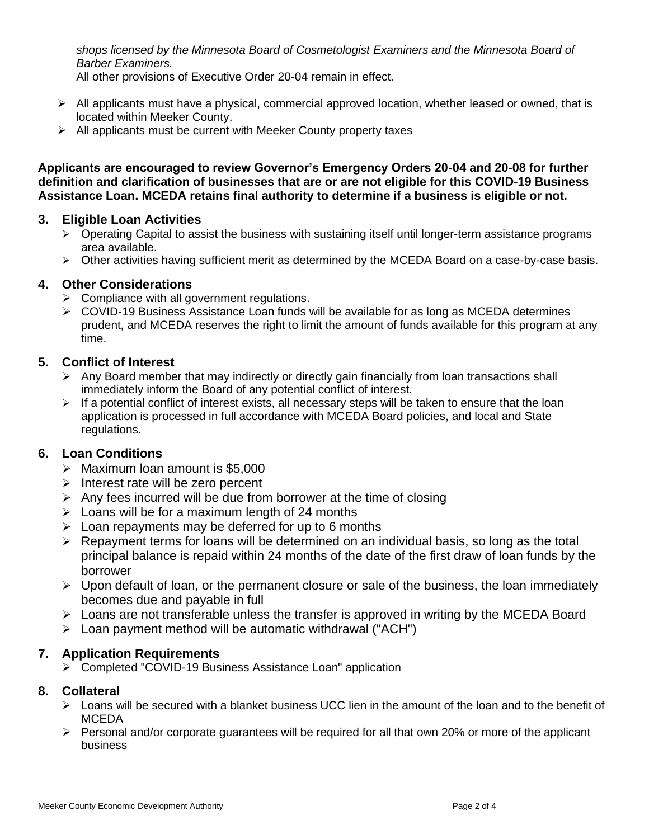*shops licensed by the Minnesota Board of Cosmetologist Examiners and the Minnesota Board of Barber Examiners.*

All other provisions of Executive Order 20-04 remain in effect.

- $\triangleright$  All applicants must have a physical, commercial approved location, whether leased or owned, that is located within Meeker County.
- $\triangleright$  All applicants must be current with Meeker County property taxes

**Applicants are encouraged to review Governor's Emergency Orders 20-04 and 20-08 for further definition and clarification of businesses that are or are not eligible for this COVID-19 Business Assistance Loan. MCEDA retains final authority to determine if a business is eligible or not.**

### **3. Eligible Loan Activities**

- $\triangleright$  Operating Capital to assist the business with sustaining itself until longer-term assistance programs area available.
- ➢ Other activities having sufficient merit as determined by the MCEDA Board on a case-by-case basis.

### **4. Other Considerations**

- $\triangleright$  Compliance with all government regulations.
- $\triangleright$  COVID-19 Business Assistance Loan funds will be available for as long as MCEDA determines prudent, and MCEDA reserves the right to limit the amount of funds available for this program at any time.

### **5. Conflict of Interest**

- $\triangleright$  Any Board member that may indirectly or directly gain financially from loan transactions shall immediately inform the Board of any potential conflict of interest.
- $\triangleright$  If a potential conflict of interest exists, all necessary steps will be taken to ensure that the loan application is processed in full accordance with MCEDA Board policies, and local and State regulations.

### **6. Loan Conditions**

- ➢ Maximum loan amount is \$5,000
- ➢ Interest rate will be zero percent
- $\triangleright$  Any fees incurred will be due from borrower at the time of closing
- $\triangleright$  Loans will be for a maximum length of 24 months
- $\triangleright$  Loan repayments may be deferred for up to 6 months
- ➢ Repayment terms for loans will be determined on an individual basis, so long as the total principal balance is repaid within 24 months of the date of the first draw of loan funds by the borrower
- ➢ Upon default of loan, or the permanent closure or sale of the business, the loan immediately becomes due and payable in full
- ➢ Loans are not transferable unless the transfer is approved in writing by the MCEDA Board
- ➢ Loan payment method will be automatic withdrawal ("ACH")

### **7. Application Requirements**

➢ Completed "COVID-19 Business Assistance Loan" application

### **8. Collateral**

- $\triangleright$  Loans will be secured with a blanket business UCC lien in the amount of the loan and to the benefit of MCEDA
- ➢ Personal and/or corporate guarantees will be required for all that own 20% or more of the applicant business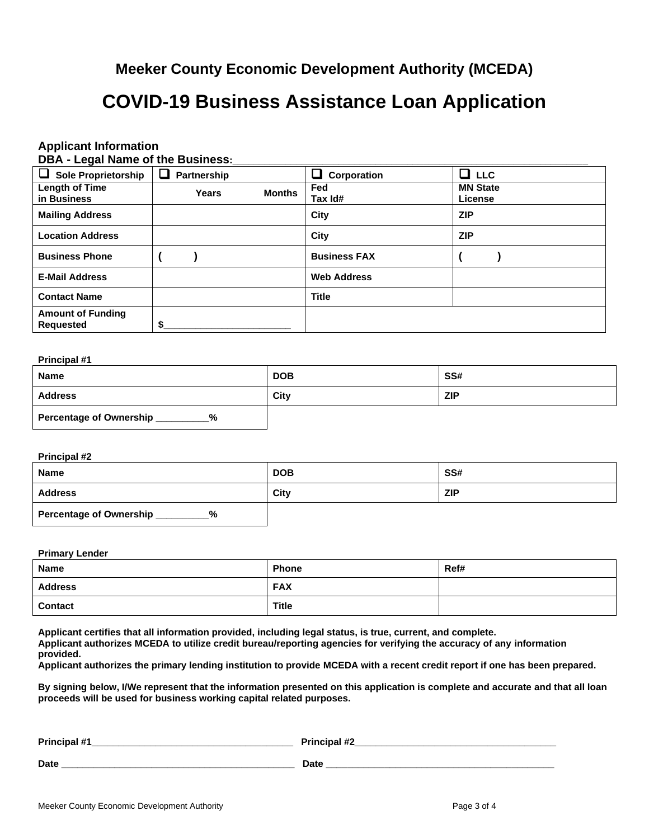### **Meeker County Economic Development Authority (MCEDA)**

## **COVID-19 Business Assistance Loan Application**

## **Applicant Information**

|  |  | DBA - Legal Name of the Business: |  |
|--|--|-----------------------------------|--|
|--|--|-----------------------------------|--|

| ⊔<br><b>Sole Proprietorship</b>              | Partnership |               | ┚<br>Corporation    | $\Box$ LLC                 |
|----------------------------------------------|-------------|---------------|---------------------|----------------------------|
| <b>Length of Time</b><br>in Business         | Years       | <b>Months</b> | Fed<br>Tax Id#      | <b>MN State</b><br>License |
| <b>Mailing Address</b>                       |             |               | City                | <b>ZIP</b>                 |
| <b>Location Address</b>                      |             |               | City                | <b>ZIP</b>                 |
| <b>Business Phone</b>                        |             |               | <b>Business FAX</b> |                            |
| <b>E-Mail Address</b>                        |             |               | <b>Web Address</b>  |                            |
| <b>Contact Name</b>                          |             |               | <b>Title</b>        |                            |
| <b>Amount of Funding</b><br><b>Requested</b> | S           |               |                     |                            |

#### **Principal #1**

| <b>Name</b>                         | <b>DOB</b> | SS#        |
|-------------------------------------|------------|------------|
| <b>Address</b>                      | City       | <b>ZIP</b> |
| <b>Percentage of Ownership</b><br>% |            |            |

#### **Principal #2**

| <b>Name</b>                         | <b>DOB</b> | SS#        |
|-------------------------------------|------------|------------|
| <b>Address</b>                      | City       | <b>ZIP</b> |
| <b>Percentage of Ownership</b><br>% |            |            |

#### **Primary Lender**

| <b>Name</b>    | <b>Phone</b> | Ref# |
|----------------|--------------|------|
| <b>Address</b> | <b>FAX</b>   |      |
| <b>Contact</b> | <b>Title</b> |      |

**Applicant certifies that all information provided, including legal status, is true, current, and complete.**

**Applicant authorizes MCEDA to utilize credit bureau/reporting agencies for verifying the accuracy of any information provided.**

**Applicant authorizes the primary lending institution to provide MCEDA with a recent credit report if one has been prepared.**

**By signing below, I/We represent that the information presented on this application is complete and accurate and that all loan proceeds will be used for business working capital related purposes.**

| Principal #1 | <b>Principal #2</b> |
|--------------|---------------------|
| Date         | <b>Date</b>         |